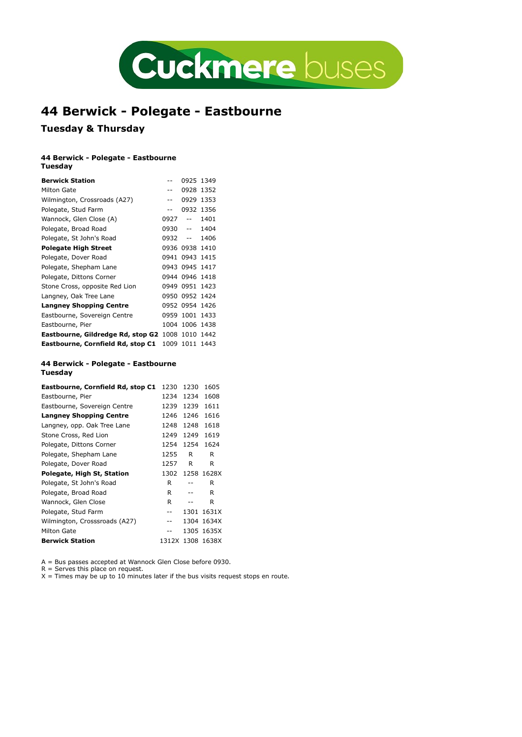

# 44 Berwick - Polegate - Eastbourne

## Tuesday & Thursday

#### 44 Berwick - Polegate - Eastbourne Tuesday

|                                                         |            |                                               |                 | Cuckmere buses |  |
|---------------------------------------------------------|------------|-----------------------------------------------|-----------------|----------------|--|
|                                                         |            |                                               |                 |                |  |
|                                                         |            |                                               |                 |                |  |
|                                                         |            |                                               |                 |                |  |
|                                                         |            |                                               |                 |                |  |
| 44 Berwick - Polegate - Eastbourne                      |            |                                               |                 |                |  |
| <b>Tuesday &amp; Thursday</b>                           |            |                                               |                 |                |  |
| 44 Berwick - Polegate - Eastbourne<br>Tuesday           |            |                                               |                 |                |  |
| <b>Berwick Station</b>                                  |            | 0925 1349                                     |                 |                |  |
| Milton Gate                                             |            | 0928 1352                                     |                 |                |  |
| Wilmington, Crossroads (A27)                            | $\sim$ $-$ | 0929 1353                                     |                 |                |  |
| Polegate, Stud Farm                                     | $\sim$ $-$ | 0932 1356                                     |                 |                |  |
| Wannock, Glen Close (A)                                 |            | 0927 -- 1401                                  |                 |                |  |
| Polegate, Broad Road                                    |            | 0930 -- 1404                                  |                 |                |  |
| Polegate, St John's Road                                | $0932 - -$ |                                               | 1406            |                |  |
| <b>Polegate High Street</b>                             |            | 0936 0938 1410                                |                 |                |  |
| Polegate, Dover Road                                    |            | 0941 0943 1415                                |                 |                |  |
| Polegate, Shepham Lane                                  |            | 0943 0945 1417                                |                 |                |  |
| Polegate, Dittons Corner                                |            | 0944 0946 1418                                |                 |                |  |
| Stone Cross, opposite Red Lion                          |            | 0949 0951 1423                                |                 |                |  |
| Langney, Oak Tree Lane                                  |            | 0950 0952 1424                                |                 |                |  |
| <b>Langney Shopping Centre</b>                          |            | 0952 0954 1426                                |                 |                |  |
| Eastbourne, Sovereign Centre                            |            | 0959 1001 1433                                |                 |                |  |
| Eastbourne, Pier                                        |            | 1004 1006 1438                                |                 |                |  |
| Eastbourne, Gildredge Rd, stop G2 1008 1010 1442        |            |                                               |                 |                |  |
| Eastbourne, Cornfield Rd, stop C1 1009 1011 1443        |            |                                               |                 |                |  |
| 44 Berwick - Polegate - Eastbourne<br>Tuesday           |            |                                               |                 |                |  |
| <b>Eastbourne, Cornfield Rd, stop C1</b> 1230 1230 1605 |            |                                               |                 |                |  |
| Eastbourne, Pier                                        |            |                                               | 1234 1234 1608  |                |  |
| Eastbourne, Sovereign Centre                            |            |                                               | 1239 1239 1611  |                |  |
| <b>Langney Shopping Centre</b>                          |            |                                               | 1246 1246 1616  |                |  |
| Langney, opp. Oak Tree Lane                             |            |                                               | 1248 1248 1618  |                |  |
| Stone Cross, Red Lion                                   |            |                                               | 1249 1249 1619  |                |  |
| Polegate, Dittons Corner                                | 1254       | 1254                                          | 1624            |                |  |
| Polegate, Shepham Lane                                  | 1255       | R                                             | R               |                |  |
| Polegate, Dover Road                                    | 1257       | R                                             | R               |                |  |
| Polegate, High St, Station                              |            |                                               | 1302 1258 1628X |                |  |
| Polegate, St John's Road                                | R          | $-$                                           | R               |                |  |
| Polegate, Broad Road                                    | R          | $\mathord{\hspace{1pt}\text{--}\hspace{1pt}}$ | R               |                |  |
| Wannock, Glen Close                                     | R          | $\mathord{\hspace{1pt}\text{--}\hspace{1pt}}$ | R               |                |  |

#### 44 Berwick - Polegate - Eastbourne Tuesday

| Polegate, St John's Road                         | ບອວບ       |                                               | 1404            |
|--------------------------------------------------|------------|-----------------------------------------------|-----------------|
|                                                  | $0932 - -$ |                                               | 1406            |
| <b>Polegate High Street</b>                      |            | 0936 0938 1410                                |                 |
| Polegate, Dover Road                             |            | 0941 0943 1415                                |                 |
| Polegate, Shepham Lane                           |            | 0943 0945 1417                                |                 |
| Polegate, Dittons Corner                         |            | 0944 0946 1418                                |                 |
| Stone Cross, opposite Red Lion                   |            | 0949 0951 1423                                |                 |
| Langney, Oak Tree Lane                           |            | 0950 0952 1424                                |                 |
| <b>Langney Shopping Centre</b>                   |            | 0952 0954 1426                                |                 |
| Eastbourne, Sovereign Centre                     |            | 0959 1001 1433                                |                 |
| Eastbourne, Pier                                 |            | 1004 1006 1438                                |                 |
| Eastbourne, Gildredge Rd, stop G2 1008 1010 1442 |            |                                               |                 |
| Eastbourne, Cornfield Rd, stop C1 1009 1011 1443 |            |                                               |                 |
| 44 Berwick - Polegate - Eastbourne               |            |                                               |                 |
| Tuesday                                          |            |                                               |                 |
| Eastbourne, Cornfield Rd, stop C1 1230 1230 1605 |            |                                               |                 |
| Eastbourne, Pier                                 |            |                                               | 1234 1234 1608  |
| Eastbourne, Sovereign Centre                     |            |                                               | 1239 1239 1611  |
| <b>Langney Shopping Centre</b>                   |            |                                               | 1246 1246 1616  |
| Langney, opp. Oak Tree Lane                      |            |                                               | 1248 1248 1618  |
| Stone Cross, Red Lion                            |            |                                               | 1249 1249 1619  |
| Polegate, Dittons Corner                         |            |                                               | 1254 1254 1624  |
| Polegate, Shepham Lane                           | 1255       | R                                             | R               |
| Polegate, Dover Road                             | 1257       | R                                             | R               |
| Polegate, High St, Station                       |            |                                               | 1302 1258 1628X |
| Polegate, St John's Road                         | R          | $ -$                                          | R               |
| Polegate, Broad Road                             | R          | $\mathord{\hspace{1pt}\text{--}\hspace{1pt}}$ | R               |
| Wannock, Glen Close                              | R          | $\mathord{\hspace{1pt}\text{--}\hspace{1pt}}$ | R               |
| Polegate, Stud Farm                              | $ -$       |                                               | 1301 1631X      |
| Wilmington, Crosssroads (A27)                    | $ -$       |                                               | 1304 1634X      |
|                                                  | $-$        |                                               | 1305 1635X      |
| Milton Gate                                      |            |                                               |                 |